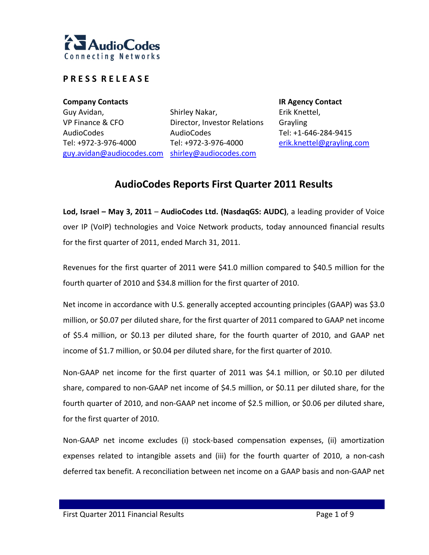

## **P R E S S R E L E A S E**

**Company Contacts IR Agency Contact** Guy Avidan, VP Finance & CFO AudioCodes Tel: +972‐3‐976‐4000

guy.avidan@audiocodes.com shirley@audiocodes.com Shirley Nakar, Director, Investor Relations AudioCodes Tel: +972‐3‐976‐4000

Erik Knettel, Grayling Tel: +1‐646‐284‐9415 erik.knettel@grayling.com

# **AudioCodes Reports First Quarter 2011 Results**

**Lod, Israel – May 3, 2011** – **AudioCodes Ltd. (NasdaqGS: AUDC)**, a leading provider of Voice over IP (VoIP) technologies and Voice Network products, today announced financial results for the first quarter of 2011, ended March 31, 2011.

Revenues for the first quarter of 2011 were \$41.0 million compared to \$40.5 million for the fourth quarter of 2010 and \$34.8 million for the first quarter of 2010.

Net income in accordance with U.S. generally accepted accounting principles (GAAP) was \$3.0 million, or \$0.07 per diluted share, for the first quarter of 2011 compared to GAAP net income of \$5.4 million, or \$0.13 per diluted share, for the fourth quarter of 2010, and GAAP net income of \$1.7 million, or \$0.04 per diluted share, for the first quarter of 2010.

Non‐GAAP net income for the first quarter of 2011 was \$4.1 million, or \$0.10 per diluted share, compared to non‐GAAP net income of \$4.5 million, or \$0.11 per diluted share, for the fourth quarter of 2010, and non‐GAAP net income of \$2.5 million, or \$0.06 per diluted share, for the first quarter of 2010.

Non‐GAAP net income excludes (i) stock‐based compensation expenses, (ii) amortization expenses related to intangible assets and (iii) for the fourth quarter of 2010, a non‐cash deferred tax benefit. A reconciliation between net income on a GAAP basis and non‐GAAP net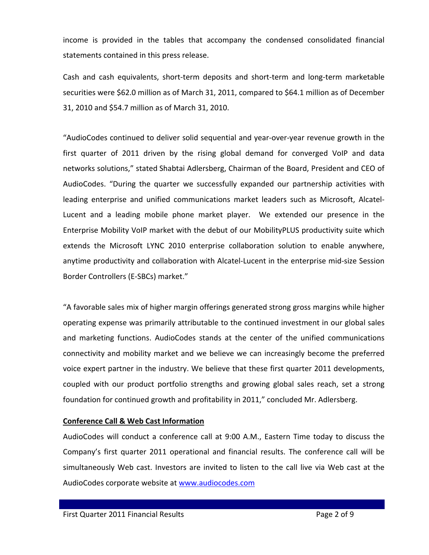income is provided in the tables that accompany the condensed consolidated financial statements contained in this press release.

Cash and cash equivalents, short‐term deposits and short‐term and long‐term marketable securities were \$62.0 million as of March 31, 2011, compared to \$64.1 million as of December 31, 2010 and \$54.7 million as of March 31, 2010.

"AudioCodes continued to deliver solid sequential and year‐over‐year revenue growth in the first quarter of 2011 driven by the rising global demand for converged VoIP and data networks solutions," stated Shabtai Adlersberg, Chairman of the Board, President and CEO of AudioCodes. "During the quarter we successfully expanded our partnership activities with leading enterprise and unified communications market leaders such as Microsoft, Alcatel‐ Lucent and a leading mobile phone market player. We extended our presence in the Enterprise Mobility VoIP market with the debut of our MobilityPLUS productivity suite which extends the Microsoft LYNC 2010 enterprise collaboration solution to enable anywhere, anytime productivity and collaboration with Alcatel‐Lucent in the enterprise mid‐size Session Border Controllers (E‐SBCs) market."

"A favorable sales mix of higher margin offerings generated strong gross margins while higher operating expense was primarily attributable to the continued investment in our global sales and marketing functions. AudioCodes stands at the center of the unified communications connectivity and mobility market and we believe we can increasingly become the preferred voice expert partner in the industry. We believe that these first quarter 2011 developments, coupled with our product portfolio strengths and growing global sales reach, set a strong foundation for continued growth and profitability in 2011," concluded Mr. Adlersberg.

### **Conference Call & Web Cast Information**

AudioCodes will conduct a conference call at 9:00 A.M., Eastern Time today to discuss the Company's first quarter 2011 operational and financial results. The conference call will be simultaneously Web cast. Investors are invited to listen to the call live via Web cast at the AudioCodes corporate website at www.audiocodes.com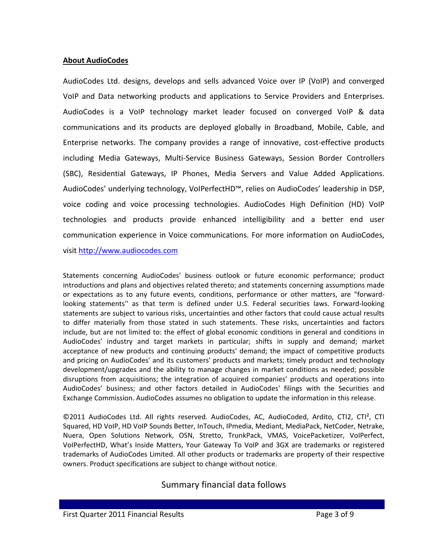### **About AudioCodes**

AudioCodes Ltd. designs, develops and sells advanced Voice over IP (VoIP) and converged VoIP and Data networking products and applications to Service Providers and Enterprises. AudioCodes is a VoIP technology market leader focused on converged VoIP & data communications and its products are deployed globally in Broadband, Mobile, Cable, and Enterprise networks. The company provides a range of innovative, cost‐effective products including Media Gateways, Multi‐Service Business Gateways, Session Border Controllers (SBC), Residential Gateways, IP Phones, Media Servers and Value Added Applications. AudioCodes' underlying technology, VoIPerfectHD™, relies on AudioCodes' leadership in DSP, voice coding and voice processing technologies. AudioCodes High Definition (HD) VoIP technologies and products provide enhanced intelligibility and a better end user communication experience in Voice communications. For more information on AudioCodes,

visit http://www.audiocodes.com

Statements concerning AudioCodes' business outlook or future economic performance; product introductions and plans and objectives related thereto; and statements concerning assumptions made or expectations as to any future events, conditions, performance or other matters, are "forward‐ looking statements'' as that term is defined under U.S. Federal securities laws. Forward‐looking statements are subject to various risks, uncertainties and other factors that could cause actual results to differ materially from those stated in such statements. These risks, uncertainties and factors include, but are not limited to: the effect of global economic conditions in general and conditions in AudioCodes' industry and target markets in particular; shifts in supply and demand; market acceptance of new products and continuing products' demand; the impact of competitive products and pricing on AudioCodes' and its customers' products and markets; timely product and technology development/upgrades and the ability to manage changes in market conditions as needed; possible disruptions from acquisitions; the integration of acquired companies' products and operations into AudioCodes' business; and other factors detailed in AudioCodes' filings with the Securities and Exchange Commission. AudioCodes assumes no obligation to update the information in this release.

©2011 AudioCodes Ltd. All rights reserved. AudioCodes, AC, AudioCoded, Ardito, CTI2, CTI², CTI Squared, HD VoIP, HD VoIP Sounds Better, InTouch, IPmedia, Mediant, MediaPack, NetCoder, Netrake, Nuera, Open Solutions Network, OSN, Stretto, TrunkPack, VMAS, VoicePacketizer, VoIPerfect, VoIPerfectHD, What's Inside Matters, Your Gateway To VoIP and 3GX are trademarks or registered trademarks of AudioCodes Limited. All other products or trademarks are property of their respective owners. Product specifications are subject to change without notice.

## Summary financial data follows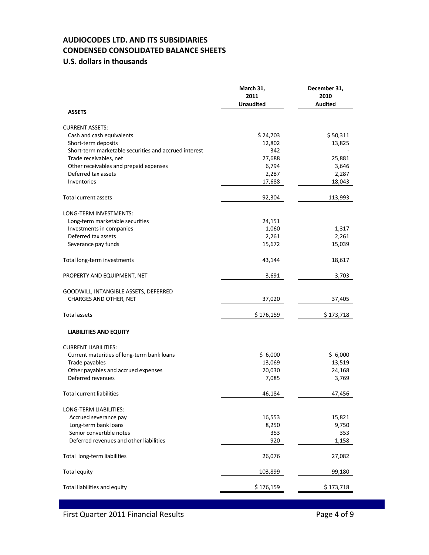### **AUDIOCODES LTD. AND ITS SUBSIDIARIES CONDENSED CONSOLIDATED BALANCE SHEETS**

## **U.S. dollars in thousands**

|                                                       | March 31,<br>2011 |                |
|-------------------------------------------------------|-------------------|----------------|
|                                                       | <b>Unaudited</b>  | <b>Audited</b> |
| <b>ASSETS</b>                                         |                   |                |
| <b>CURRENT ASSETS:</b>                                |                   |                |
| Cash and cash equivalents                             | \$24,703          | \$50,311       |
| Short-term deposits                                   | 12,802            | 13,825         |
| Short-term marketable securities and accrued interest | 342               |                |
| Trade receivables, net                                | 27,688            | 25,881         |
| Other receivables and prepaid expenses                | 6,794             | 3,646          |
| Deferred tax assets                                   | 2,287             | 2,287          |
| Inventories                                           | 17,688            | 18,043         |
| Total current assets                                  | 92,304            | 113,993        |
| LONG-TERM INVESTMENTS:                                |                   |                |
| Long-term marketable securities                       | 24,151            |                |
| Investments in companies                              | 1,060             | 1,317          |
| Deferred tax assets                                   | 2,261             | 2,261          |
| Severance pay funds                                   | 15,672            | 15,039         |
| Total long-term investments                           | 43,144            | 18,617         |
| PROPERTY AND EQUIPMENT, NET                           | 3,691             | 3,703          |
| GOODWILL, INTANGIBLE ASSETS, DEFERRED                 |                   |                |
| CHARGES AND OTHER, NET                                | 37,020            | 37,405         |
| <b>Total assets</b>                                   | \$176,159         | \$173,718      |
| <b>LIABILITIES AND EQUITY</b>                         |                   |                |
| <b>CURRENT LIABILITIES:</b>                           |                   |                |
| Current maturities of long-term bank loans            | \$6,000           | \$6,000        |
| Trade payables                                        | 13,069            | 13,519         |
| Other payables and accrued expenses                   | 20,030            | 24,168         |
| Deferred revenues                                     | 7,085             | 3,769          |
| <b>Total current liabilities</b>                      | 46,184            | 47,456         |
| LONG-TERM LIABILITIES:                                |                   |                |
| Accrued severance pay                                 | 16,553            | 15,821         |
| Long-term bank loans                                  | 8,250             | 9,750          |
| Senior convertible notes                              | 353               | 353            |
| Deferred revenues and other liabilities               | 920               | 1,158          |
| Total long-term liabilities                           | 26,076            | 27,082         |
| Total equity                                          | 103,899           | 99,180         |
| Total liabilities and equity                          | \$176,159         | \$173,718      |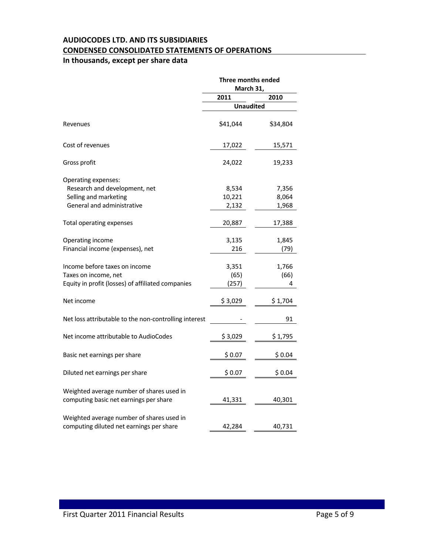## **AUDIOCODES LTD. AND ITS SUBSIDIARIES CONDENSED CONSOLIDATED STATEMENTS OF OPERATIONS**

## **In thousands, except per share data**

|                                                       | Three months ended<br>March 31, |          |
|-------------------------------------------------------|---------------------------------|----------|
|                                                       | 2011                            | 2010     |
|                                                       | <b>Unaudited</b>                |          |
| Revenues                                              | \$41,044                        | \$34,804 |
| Cost of revenues                                      | 17,022                          | 15,571   |
| Gross profit                                          | 24,022                          | 19,233   |
| Operating expenses:                                   |                                 |          |
| Research and development, net                         | 8,534                           | 7,356    |
| Selling and marketing                                 | 10,221                          | 8,064    |
| General and administrative                            | 2,132                           | 1,968    |
| Total operating expenses                              | 20,887                          | 17,388   |
| Operating income                                      | 3,135                           | 1,845    |
| Financial income (expenses), net                      | 216                             | (79)     |
| Income before taxes on income                         | 3,351                           | 1,766    |
| Taxes on income, net                                  | (65)                            | (66)     |
| Equity in profit (losses) of affiliated companies     | (257)                           | 4        |
| Net income                                            | \$3,029                         | \$1,704  |
| Net loss attributable to the non-controlling interest |                                 | 91       |
| Net income attributable to AudioCodes                 | \$3,029                         | \$1,795  |
| Basic net earnings per share                          | \$0.07                          | \$0.04   |
| Diluted net earnings per share                        | \$0.07                          | \$0.04   |
| Weighted average number of shares used in             |                                 |          |
| computing basic net earnings per share                | 41,331                          | 40,301   |
| Weighted average number of shares used in             |                                 |          |
| computing diluted net earnings per share              | 42,284                          | 40,731   |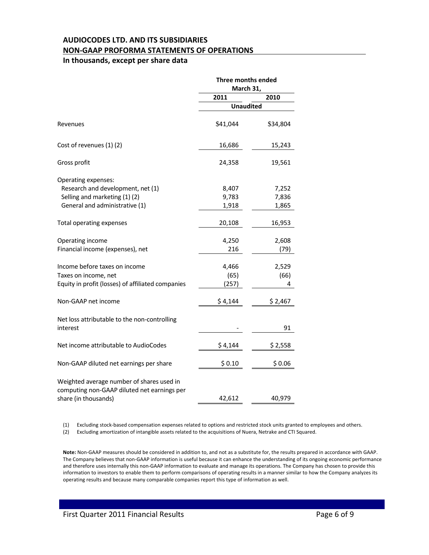## **AUDIOCODES LTD. AND ITS SUBSIDIARIES NON‐GAAP PROFORMA STATEMENTS OF OPERATIONS**

### **In thousands, except per share data**

|                                                   | Three months ended<br>March 31, |          |  |
|---------------------------------------------------|---------------------------------|----------|--|
|                                                   | 2011                            | 2010     |  |
|                                                   | <b>Unaudited</b>                |          |  |
| Revenues                                          | \$41,044                        | \$34,804 |  |
| Cost of revenues (1) (2)                          | 16,686                          | 15,243   |  |
| Gross profit                                      | 24,358                          | 19,561   |  |
| Operating expenses:                               |                                 |          |  |
| Research and development, net (1)                 | 8,407                           | 7,252    |  |
| Selling and marketing (1)(2)                      | 9,783                           | 7,836    |  |
| General and administrative (1)                    | 1,918                           | 1,865    |  |
| Total operating expenses                          | 20,108                          | 16,953   |  |
| Operating income                                  | 4,250                           | 2,608    |  |
| Financial income (expenses), net                  | 216                             | (79)     |  |
| Income before taxes on income                     | 4,466                           | 2,529    |  |
| Taxes on income, net                              | (65)                            | (66)     |  |
| Equity in profit (losses) of affiliated companies | (257)                           | 4        |  |
| Non-GAAP net income                               | \$4,144                         | \$2,467  |  |
| Net loss attributable to the non-controlling      |                                 |          |  |
| interest                                          |                                 | 91       |  |
| Net income attributable to AudioCodes             | \$4,144                         | \$ 2,558 |  |
| Non-GAAP diluted net earnings per share           | \$0.10                          | \$0.06   |  |
| Weighted average number of shares used in         |                                 |          |  |
| computing non-GAAP diluted net earnings per       |                                 |          |  |
| share (in thousands)                              | 42,612                          | 40,979   |  |

(1) Excluding stock‐based compensation expenses related to options and restricted stock units granted to employees and others.

(2) Excluding amortization of intangible assets related to the acquisitions of Nuera, Netrake and CTI Squared.

**Note:** Non‐GAAP measures should be considered in addition to, and not as a substitute for, the results prepared in accordance with GAAP. The Company believes that non‐GAAP information is useful because it can enhance the understanding of its ongoing economic performance and therefore uses internally this non‐GAAP information to evaluate and manage its operations. The Company has chosen to provide this information to investors to enable them to perform comparisons of operating results in a manner similar to how the Company analyzes its operating results and because many comparable companies report this type of information as well.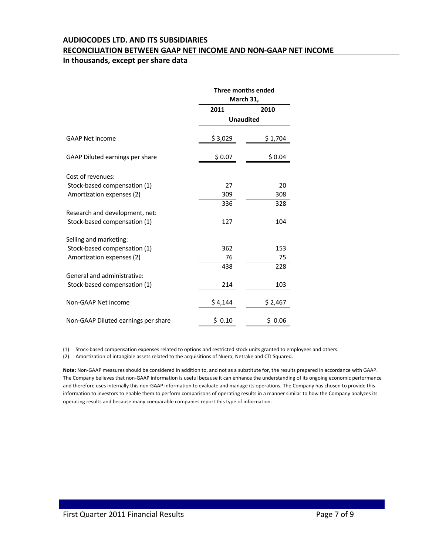#### **AUDIOCODES LTD. AND ITS SUBSIDIARIES**

#### **RECONCILIATION BETWEEN GAAP NET INCOME AND NON‐GAAP NET INCOME**

#### **In thousands, except per share data**

|                                     |         | Three months ended<br>March 31, |  |  |
|-------------------------------------|---------|---------------------------------|--|--|
|                                     | 2011    | 2010                            |  |  |
|                                     |         | <b>Unaudited</b>                |  |  |
| <b>GAAP Net income</b>              | \$3,029 | \$1,704                         |  |  |
| GAAP Diluted earnings per share     | \$0.07  | \$0.04                          |  |  |
| Cost of revenues:                   |         |                                 |  |  |
| Stock-based compensation (1)        | 27      | 20                              |  |  |
| Amortization expenses (2)           | 309     | 308                             |  |  |
|                                     | 336     | 328                             |  |  |
| Research and development, net:      |         |                                 |  |  |
| Stock-based compensation (1)        | 127     | 104                             |  |  |
| Selling and marketing:              |         |                                 |  |  |
| Stock-based compensation (1)        | 362     | 153                             |  |  |
| Amortization expenses (2)           | 76      | 75                              |  |  |
|                                     | 438     | 228                             |  |  |
| General and administrative:         |         |                                 |  |  |
| Stock-based compensation (1)        | 214     | 103                             |  |  |
| Non-GAAP Net income                 | \$4,144 | \$2,467                         |  |  |
| Non-GAAP Diluted earnings per share | \$0.10  | \$0.06                          |  |  |

(1) Stock‐based compensation expenses related to options and restricted stock units granted to employees and others.

(2) Amortization of intangible assets related to the acquisitions of Nuera, Netrake and CTI Squared.

**Note:** Non‐GAAP measures should be considered in addition to, and not as a substitute for, the results prepared in accordance with GAAP. The Company believes that non‐GAAP information is useful because it can enhance the understanding of its ongoing economic performance and therefore uses internally this non‐GAAP information to evaluate and manage its operations. The Company has chosen to provide this information to investors to enable them to perform comparisons of operating results in a manner similar to how the Company analyzes its operating results and because many comparable companies report this type of information.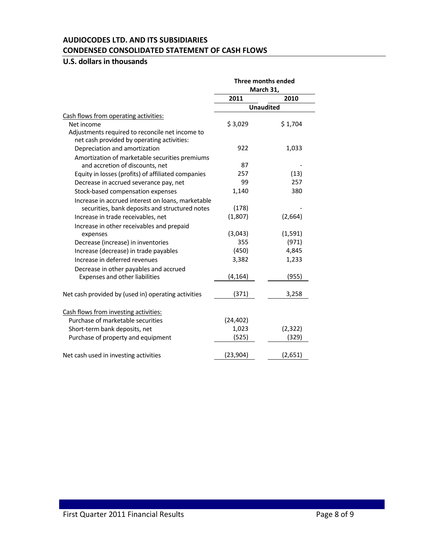### **AUDIOCODES LTD. AND ITS SUBSIDIARIES CONDENSED CONSOLIDATED STATEMENT OF CASH FLOWS**

## **U.S. dollars in thousands**

|                                                     | Three months ended<br>March 31, |          |
|-----------------------------------------------------|---------------------------------|----------|
|                                                     |                                 |          |
|                                                     | 2011                            | 2010     |
|                                                     | <b>Unaudited</b>                |          |
| Cash flows from operating activities:               |                                 |          |
| Net income                                          | \$3,029                         | \$1,704  |
| Adjustments required to reconcile net income to     |                                 |          |
| net cash provided by operating activities:          |                                 |          |
| Depreciation and amortization                       | 922                             | 1,033    |
| Amortization of marketable securities premiums      |                                 |          |
| and accretion of discounts, net                     | 87                              |          |
| Equity in losses (profits) of affiliated companies  | 257                             | (13)     |
| Decrease in accrued severance pay, net              | 99                              | 257      |
| Stock-based compensation expenses                   | 1,140                           | 380      |
| Increase in accrued interest on loans, marketable   |                                 |          |
| securities, bank deposits and structured notes      | (178)                           |          |
| Increase in trade receivables, net                  | (1,807)                         | (2,664)  |
| Increase in other receivables and prepaid           |                                 |          |
| expenses                                            | (3,043)                         | (1, 591) |
| Decrease (increase) in inventories                  | 355                             | (971)    |
| Increase (decrease) in trade payables               | (450)                           | 4,845    |
| Increase in deferred revenues                       | 3,382                           | 1,233    |
| Decrease in other payables and accrued              |                                 |          |
| Expenses and other liabilities                      | (4, 164)                        | (955)    |
|                                                     |                                 |          |
| Net cash provided by (used in) operating activities | (371)                           | 3,258    |
|                                                     |                                 |          |
| Cash flows from investing activities:               |                                 |          |
| Purchase of marketable securities                   | (24, 402)                       |          |
| Short-term bank deposits, net                       | 1,023                           | (2,322)  |
| Purchase of property and equipment                  | (525)                           | (329)    |
| Net cash used in investing activities               | (23, 904)                       | (2,651)  |
|                                                     |                                 |          |